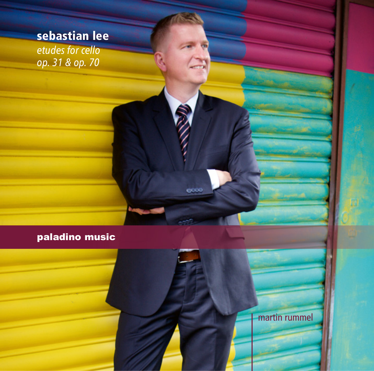## sebastian lee

etudes for cello ор. 31 & ор. 70

## paladino music

 $\alpha$ 

martin rummel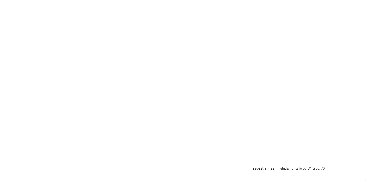sebastian lee etudes for cello op. 31 & op. 70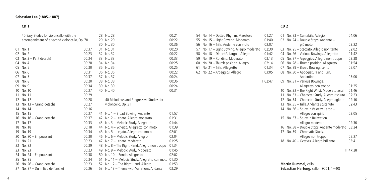## **CD 1**

| 40 Easy Etudes for violoncello with the       |       |    | 28 No. 28                                         | 00:21 |
|-----------------------------------------------|-------|----|---------------------------------------------------|-------|
| accompaniment of a second violoncello, Op. 70 |       |    | 29 No. 29                                         | 00:22 |
|                                               |       | 30 | No. 30                                            | 00:36 |
| 01 No.1                                       | 00:37 | 31 | No. 31                                            | 00:20 |
| 02 No.2                                       | 00:23 |    | 32 No. 32                                         | 00:22 |
| 03 No. 3 – Petit détaché                      | 00:24 |    | 33 No. 33                                         | 00:33 |
| 04 No. 4                                      | 00:28 |    | 34 No. 34                                         | 00:25 |
| 05 No.5                                       | 00:30 | 35 | No. 35                                            | 00:25 |
| 06 No.6                                       | 00:31 | 36 | No. 36                                            | 00:22 |
| 07 No.7                                       | 00:37 |    | 37 No. 37                                         | 00:24 |
| 08 No.8                                       | 00:20 | 38 | No. 38                                            | 00:36 |
| 09 No.9                                       | 00:34 |    | 39 No. 39                                         | 00:24 |
| 10 No. 10                                     | 00:27 | 40 | No. 40                                            | 00:31 |
| 11 No. 11                                     | 00:29 |    |                                                   |       |
| 12 No. 12                                     | 00:28 |    | 40 Melodious and Progressive Studies for          |       |
| 13 No. 13 - Grand détaché                     | 00:27 |    | violoncello, Op. 31                               |       |
| 14 No. 14                                     | 00:16 |    |                                                   |       |
| 15 No. 15                                     | 00:27 |    | 41 No. 1 - Broad Bowing. Andante                  | 01:57 |
| 16 No. 16 - Grand détaché                     | 00:37 |    | 42 No. 2 - Legato. Allegro moderato               | 01:31 |
| 17 No. 17                                     | 00:33 |    | 43 No. 3 - Melodic Study. Allegretto              | 01:44 |
| 18 No. 18                                     | 00:18 |    | 44 No. 4 - Scherzo. Allegretto con moto           | 01:39 |
| 19 No. 19                                     | 00:34 |    | 45 No. 5 - Legato. Allegro con moto               | 02:01 |
| 20 No. 20 - En poussant                       | 00:30 |    | 46 No. 6 - Melodic Study. Allegro                 | 02:04 |
| 21 No. 21                                     | 00:23 | 47 | No. 7 - Legato. Moderato                          | 01:25 |
| 22 No. 22                                     | 00:39 |    | 48 No. 8 - The Right Hand. Allegro non troppo     | 01:34 |
| 23 No. 23                                     | 00:23 |    | 49 No. 9 - Melodic Study. Moderato                | 01:45 |
| 24 No. 24 – En poussant                       | 00:38 |    | 50 No. 10 - Rondo. Allegretto                     | 02:02 |
| 25 No. 25                                     | 00:34 | 51 | No. 11 - Melodic Study. Allegretto con moto 01:30 |       |
| 26 No. 26 – Grand détaché                     | 00:23 |    | 52 No. 12 - The Right Hand. Allegro               | 01:53 |
| 27 No. 27 – Du milieu de l'archet             | 00:26 | 53 | No. 13 - Theme with Variations. Andante           | 03:29 |

## **CD 2**

|    | 54 No. 14 - Dotted Rhythm. Maestoso     | 01:27    |    | 01 No. 23 - Cantabile. Adagio                | 04:06    |
|----|-----------------------------------------|----------|----|----------------------------------------------|----------|
| 55 | No. 15 - Light Bowing. Moderato         | 01:40    |    | 02 No. 24 - Double Stops. Andante -          |          |
| 56 | No. 16 - Trills. Andante con moto       | 02:07    |    | più moto                                     | 03:22    |
| 57 | No. 17 - Light Bowing. Allegro moderato | 02:30    |    | 03 No. 25 - Staccato. Allegro non tanto      | 02:02    |
| 58 | No. 18 - Détaché. Largo - Allegro       | 01:42    | 04 | No. 26 - Various Bowings. Allegretto         | 01:42    |
| 59 | No. 19 - Rondino. Moderato              | 03:13    | 05 | No. 27 - Arpeggios. Allegro non troppo       | 03:38    |
| 60 | No. 20 - Thumb position. Allegro        | 02:14    | 06 | No. 28 - Thumb position. Allegretto          | 01:54    |
| 61 | No. 21 - Trills. Allegretto             | 01:34    | 07 | No. 29 - Broad Bowing. Lento                 | 02:07    |
| 62 | No. 22 – Arpeggios. Allegro             | 03:05    |    | 08 No. 30 - Appogiatura and Turn.            |          |
|    |                                         |          |    | Andantino                                    | 03:00    |
|    |                                         | TT 62:47 |    | 09 No. 31 - Various Bowings.                 |          |
|    |                                         |          |    | Allegretto non troppo                        | 01:25    |
|    |                                         |          |    | 10 No. 32 - The Right Wrist. Moderato assai  | 01:46    |
|    |                                         |          | 11 | No. 33 - Character Study. Allegro risoluto   | 02:23    |
|    |                                         |          |    | 12 No. 34 - Character Study. Allegro agitato | 02:10    |
|    |                                         |          |    | 13 No. 35 - Trills. Andante sostenuto        | 02:43    |
|    |                                         |          |    | 14 No. 36 - Study in Velocity. Largo -       |          |
|    |                                         |          |    | Allegro con spirit                           | 03:05    |
|    |                                         |          |    | 15 No. 37 - Study in Relaxation.             |          |
|    |                                         |          |    | Allegro moderato                             | 02:30    |
|    |                                         |          |    | 16 No. 38 - Double Stops. Andante moderato   | 03:24    |
|    |                                         |          | 17 | No. 39 - Chromatic Study.                    |          |
|    |                                         |          |    | Allegro non troppo                           | 02:27    |
|    |                                         |          |    | 18 No. 40 - Octaves. Allegro brillante       | 03:41    |
|    |                                         |          |    |                                              |          |
|    |                                         |          |    |                                              | TT 47:28 |

**Martin Rummel,** cello **Sebastian Hartung, cello II (CD1, 1-40)**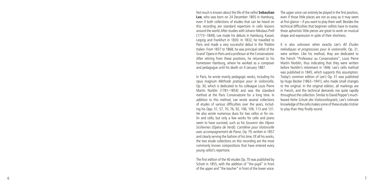Not much is known about the life of the cellist **Sebastian Lee**, who was born on 24 December 1805 in Hamburg, even if both collections of etudes that can be heard on this recording are standard repertoire in cello lessons around the world. After studies with Johann Nikolaus Prell (177 3–1849), Lee made his debuts in Hamburg, Kassel, Leipzig and Frankfurt in 1830. In 1832, he travelled to Paris and made a very successful debut in the Théâtre Italien. From 1837 to 1868, he was principal cellist of the Grand' Opera in Paris and a professor at the Conservatoire. After retiring from these positions, he returned to his hometown Hamburg, where he worked as a composer and pedagogue until his death on 4 January 1887.

In Paris, he wrote mainly pedagogic works, including his opus magnum Méthode pratique pour le violoncelle, Op. 30, which is dedicated to his colleague Louis Pierre Martin Norblin (1781–1854) and was the standard method at the Paris Conservatoire for a long time. In addition to this method, Lee wrote several collections of etudes of various difficulties over the years, includ ing his Opp. 31, 57, 70, 76, 92, 106, 109, 113 and 131. He also wrote numerous duos for two cellos or for vio lin and cello, but only a few works for cello and piano seem to have survived, such as his Souvenir des Vêpres Siciliennes (Opéra de Verdi). Cantilène pour Violoncelle avec accompagnement de Piano, Op. 79, written in 1857 and clearly serving the fashion of his time. Of all his works, the two etude collections on this recording are the most commonly known compositions that have entered every young cellist's repertoire.

The first edition of the 40 etudes Op. 70 was published by Schott in 1855, with the addition of "the pupil" in front of the upper and "the teacher" in front of the lower voice. The upper voice can entirely be played in the first position. even if those little pieces are not as easy as it may seem at first glance – if you want to play them well. Besides the technical difficulties that beginner cellists have to master, these aphoristic little pieces are great to work on musical shape and expression in spite of their shortness.

It is also unknown when exactly Lee's 40 Études mélodiques et progressives pour le violoncelle, Op. 31, were written. Like his method, they are dedicated to the French "Professeur au Conservatoire", Louis Pierre Martin Norblin, thus indicating that they were written before Norblin's retirement in 1846. Lee's cello method was published in 1845, which supports this assumption. Today's common edition of Lee's Op. 31 was published by Hugo Becker (186 3–1941), who made small changes to the original. In the original edition, all markings are in French, and the technical demands rise quite rapidly throughout the collection. Similar to David Popper's muchfeared Hohe Schule des Violoncellospiels, Lee's intimate knowledge of the cello makes some of these etudes trickier to play than they finally sound.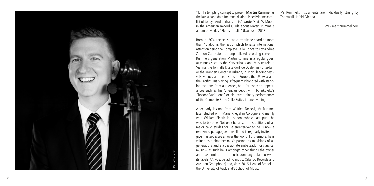

"[…] a tempting concept to present **Martin Rummel** as the latest candidate for 'most distinguished Viennese cel list of today'. And perhaps he is." wrote David W Moore in the American Record Guide about Martin Rummel's album of Merk's "Fleurs d'Italie" (Naxos) in 2013.

Born in 1974, the cellist can currently be heard on more than 40 albums, the last of which to raise international attention being the Complete Cello Concertos by Andrea Zani on Capriccio – an unparalleled recording career in Rummel's generation. Martin Rummel is a regular guest at venues such as the Konzerthaus and Musikverein in Vienna, the Tonhalle Düsseldorf, de Doelen in Rotterdam or the Krannert Center in Urbana, in short: leading festi vals, venues and orchestras in Europe, the US, Asia and the Pacifics. His playing is frequently honored with stand ing ovations from audiences, be it for concerto appear ances such as his American debut with Tchaikovsky's "Rococo Variations" or his extraordinary performances of the Complete Bach Cello Suites in one evening.

After early lessons from Wilfried Tachezi, Mr Rummel later studied with Maria Kliegel in Cologne and mainly with William Pleeth in London, whose last pupil he was to become. Not only because of his editions of all major cello etudes for Bärenreiter-Verlag he is now a renowned pedagogue himself and is regularly invited to give masterclasses all over the world. Furthermore, he is valued as a chamber music partner by musicians of all generations and is a passionate ambassador for classical music – as such he is amongst other things the owner and mastermind of the music company paladino (with its labels KAIROS, paladino music, Orlando Records and Austrian Gramphone) and, since 2016, Head of School at the University of Auckland's School of Music.

Mr Rummel's instruments are individually strung by Thomastik-Infeld, Vienna.

www.martinrummel.com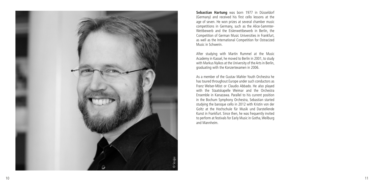

**Sebastian Hartung** was born 1977 in Düsseldorf (Germany) and received his first cello lessons at the age of seven. He won prizes at several chamber music competitions in Germany, such as the Alice-Sammter-Wettbewerb and the Eislerwettbewerb in Berlin, the Competition of German Music Universities in Frankfurt, as well as the International Competition for Ostracized Music in Schwerin.

After studying with Martin Rummel at the Music Academy in Kassel, he moved to Berlin in 2001, to study with Markus Nyikos at the University of the Arts in Berlin, graduating with the Konzertexamen in 2006.

As a member of the Gustav Mahler Youth Orchestra he has toured throughout Europe under such conductors as Franz Welser-Möst or Claudio Abbado. He also played with the Staatskapelle Weimar and the Orchestra Ensemble in Kanazawa. Parallel to his current position in the Bochum Symphony Orchestra, Sebastian started studying the baroque cello in 2012 with Kristin von der Goltz at the Hochschule für Musik und Darstellende Kunst in Frankfurt. Since then, he was frequently invited to perform at festivals for Early Music in Gotha, Weilburg and Mannheim.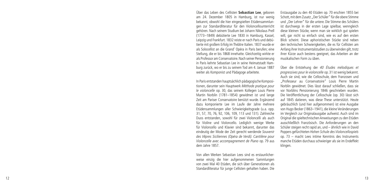Über das Leben des Cellisten **Sebastian Lee**, geboren am 24. Dezember 1805 in Hamburg, ist nur wenig bekannt, obwohl die hier eingespielten Etüdensammlun gen zur Standardliteratur für den Violoncellounterricht gehören. Nach seinem Studium bei Johann Nikolaus Prell (177 3 –1849) debütierte Lee 1830 in Hamburg, Kassel, Leipzig und Frankfurt. 1832 reiste er nach Paris und debü tierte mit großem Erfolg im Théâtre Italien. 1837 wurde er als Solocellist an die Grand' Opéra in Paris berufen; eine Stellung, die er bis 1868 innehatte. Gleichzeitig wirkte er als Professor am Conservatoire. Nach seiner Pensionierung in Paris kehrte Sebastian Lee in seine Heimatstadt Ham burg zurück, wo er bis zu seinem Tod am 4. Januar 1887 weiter als Komponist und Pädagoge arbeitete.

In Paris entstanden hauptsächlich pädagogische Komposi tionen, darunter sein Hauptwerk Méthode pratique pour le violoncelle op. 30, das seinem Kollegen Louis Pierre Martin Norblin (178 1–1854) gewidmet ist und lange Zeit am Pariser Conservatoire benützt wurde. Ergänzend dazu komponierte Lee im Laufe der Jahre mehrere Etüdensammlungen aller Schwierigkeitsgrade (u.a. opp. 31, 57, 70, 76, 92, 106, 109, 113 und 131). Zahlreiche Duos entstanden, sowohl für zwei Violoncelli als auch für Violine und Violoncello. Lediglich wenige Werke für Violoncello und Klavier sind bekannt, darunter das eindeutig der Mode der Zeit gerecht werdende Souvenir des Vêpres Siciliennes (Opéra de Verdi). Cantilène pour Violoncelle avec accompagnement de Piano op. 79 aus dem Jahre 1857.

Von allen Werken Sebastian Lees sind es erstaunlicher weise einzig die hier aufgenommenen Sammlungen von zwei Mal 40 Etüden, die sich über Generationen als Standardliteratur für junge Cellisten gehalten haben. Die

Erstausgabe zu den 40 Etüden op. 70 erschien 1855 bei Schott, mit dem Zusatz "Der Schüler" für die obere Stimme und "Der Lehrer" für die untere. Die Stimme des Schülers ist durchwegs in der ersten Lage spielbar, wenngleich diese kleinen Stücke, wenn man sie wirklich gut spielen will, gar nicht so einfach sind, wie es auf den ersten Blick scheint. Diese aphoristischen Stücke sind neben den technischen Schwierigkeiten, die es für Cellisten am Anfang ihrer Instrumentalstudien zu überwinden gilt, trotz ihrer Kürze auch bestens geeignet, das Arbeiten an der musikalischen Form zu üben.

Über die Entstehung der 40 Études mélodiques et progressives pour le violoncelle op. 31 ist wenig bekannt. Auch sie sind, wie die Celloschule, dem Franzosen und "Professeur au Conservatoire" Louis Pierre Martin Norblin gewidmet. Dies lässt darauf schließen, dass sie vor Norblins Pensionierung 1846 geschrieben wurden. Die Veröffentlichung der Celloschule (op. 30) lässt sich auf 1845 datieren, was diese These unterstützt. Heute gebräuchlich (und hier aufgenommen) ist eine Ausgabe von Hugo Becker (1863–1941), die kleine Veränderungen im Vergleich zur Originalausgabe aufweist. Auch sind im Original die spieltechnischen Anweisungen zu den Etüden ausschließlich Französisch. Die Anforderungen an den Schüler steigen recht rapid an, und – ähnlich wie in David Poppers gefürchteten Hohen Schule des Violoncellospiels op. 73 – macht Lees intime Kenntnis des Instruments manche Etüden durchaus schwieriger als sie im Endeffekt klingen.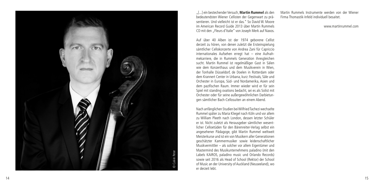

"[...] ein bestechender Versuch, **Martin Rummel** als den bedeutendsten Wiener Cellisten der Gegenwart zu prä sentieren. Und vielleicht ist er das." So David W. Moore im American Record Guide 2013 über Martin Rummels CD mit den "Fleurs d'Italie" von Joseph Merk auf Naxos.

Auf über 40 Alben ist der 1974 geborene Cellist derzeit zu hören, von denen zuletzt die Ersteinspielung sämtlicher Cellokonzerte von Andrea Zani für Capriccio internationales Aufsehen erregt hat – eine Aufnah mekarriere, die in Rummels Generation ihresgleichen sucht. Martin Rummel ist regelmäßiger Gast in Sälen wie dem Konzerthaus und dem Musikverein in Wien, der Tonhalle Düsseldorf, de Doelen in Rotterdam oder dem Krannert Center in Urbana, kurz: Festivals, Säle und Orchester in Europa, Süd- und Nordamerika, Asien und dem pazifischen Raum. Immer wieder wird er für sein Spiel mit standing ovations bedacht, sei es als Solist mit Orchester oder für seine außergewöhnlichen Darbietun gen sämtlicher Bach-Cellosuiten an einem Abend.

Nach anfänglichen Studien bei Wilfried Tachezi wechselte Rummel später zu Maria Kliegel nach Köln und vor allem zu William Pleeth nach London, dessen letzter Schüler er ist. Nicht zuletzt als Herausgeber sämtlicher wesent licher Celloetüden für den Bärenreiter-Verlag selbst ein angesehener Pädagoge, gibt Martin Rummel weltweit Meisterkurse und ist ein von Musikern aller Generationen geschätzter Kammermusiker sowie leidenschaftlicher Musikvermittler – als solcher vor allem Eigentümer und Mastermind des Musikunternehmens paladino (mit den Labels KAIROS, paladino music und Orlando Records) sowie seit 2016 als Head of School (Rektor) der School of Music an der University of Auckland (Neuseeland), wo er derzeit lebt.

Martin Rummels Instrumente werden von der Wiener Firma Thomastik-Infeld individuell besaitet.

www.martinrummel.com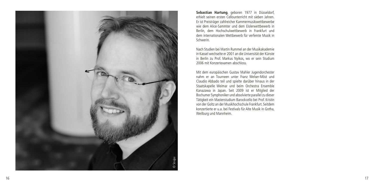

**Sebastian Hartung**, geboren 1977 in Düsseldorf, erhielt seinen ersten Cellounterricht mit sieben Jahren. Er ist Preisträger zahlreicher Kammermusikwettbewerbe wie dem Alice-Sammter und dem Fislerwettbewerb in Berlin, dem Hochschulwettbewerb in Frankfurt und dem internationalen Wettbewerb für verfemte Musik in Schwerin.

Nach Studien bei Martin Rummel an der Musikakademie in Kassel wechselte er 2001 an die Universität der Künste in Berlin zu Prof. Markus Nyikos, wo er sein Studium 2006 mit Konzertexamen abschloss.

Mit dem europäischen Gustav Mahler Jugendorchester nahm er an Tourneen unter Franz Welser-Möst und Claudio Abbado teil und spielte darüber hinaus in der Staatskapelle Weimar und beim Orchestra Ensemble Kanazawa in Japan. Seit 2009 ist er Mitglied der Bochumer Symphoniker und absolvierte parallel zu dieser Tätigkeit ein Masterstudium Barockcello bei Prof. Kristin von der Goltz an der Musikhochschule Frankfurt. Seitdem konzertierte er u.a. bei Festivals für Alte Musik in Gotha, Weilburg und Mannheim.